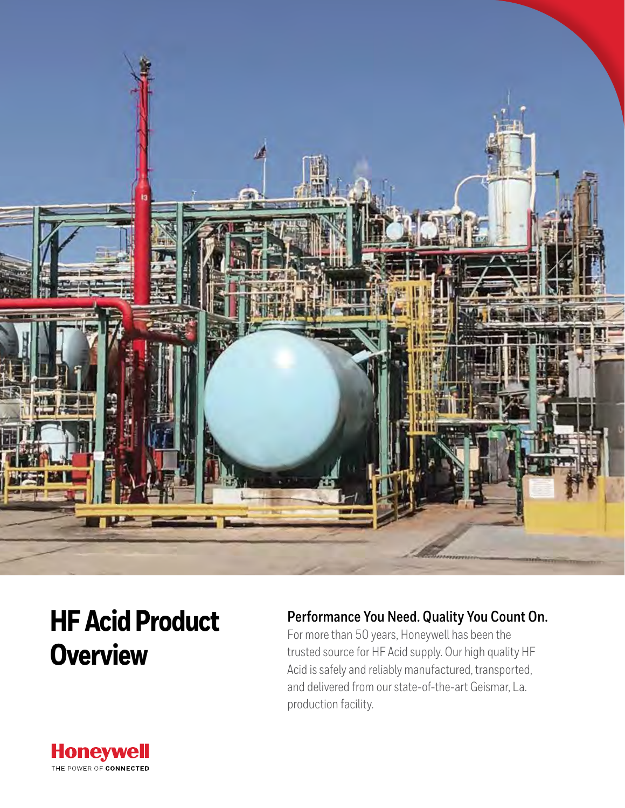

# **HF Acid Product Overview**

## **Performance You Need. Quality You Count On.**

For more than 50 years, Honeywell has been the trusted source for HF Acid supply. Our high quality HF Acid is safely and reliably manufactured, transported, and delivered from our state-of-the-art Geismar, La. production facility.